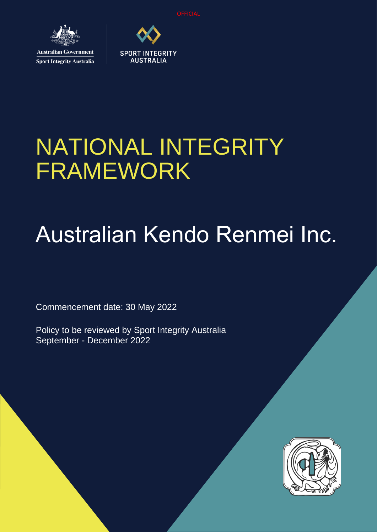**OFFICIAL** 



**Sport Integrity Australia** 



## NATIONAL INTEGRITY FRAMEWORK

# Australian Kendo Renmei Inc.

Commencement date: 30 May 2022

Policy to be reviewed by Sport Integrity Australia September - December 2022

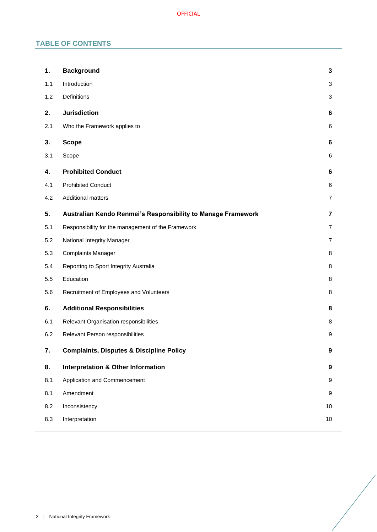## **TABLE OF CONTENTS**

| 1.  | <b>Background</b>                                            | 3                |
|-----|--------------------------------------------------------------|------------------|
| 1.1 | Introduction                                                 | 3                |
| 1.2 | Definitions                                                  | 3                |
| 2.  | <b>Jurisdiction</b>                                          | 6                |
| 2.1 | Who the Framework applies to                                 | 6                |
| 3.  | <b>Scope</b>                                                 | 6                |
| 3.1 | Scope                                                        | 6                |
| 4.  | <b>Prohibited Conduct</b>                                    | 6                |
| 4.1 | <b>Prohibited Conduct</b>                                    | 6                |
| 4.2 | <b>Additional matters</b>                                    | $\overline{7}$   |
| 5.  | Australian Kendo Renmei's Responsibility to Manage Framework | 7                |
| 5.1 | Responsibility for the management of the Framework           | $\overline{7}$   |
| 5.2 | National Integrity Manager                                   | 7                |
| 5.3 | <b>Complaints Manager</b>                                    | 8                |
| 5.4 | Reporting to Sport Integrity Australia                       | 8                |
| 5.5 | Education                                                    | 8                |
| 5.6 | Recruitment of Employees and Volunteers                      | 8                |
| 6.  | <b>Additional Responsibilities</b>                           | 8                |
| 6.1 | Relevant Organisation responsibilities                       | 8                |
| 6.2 | Relevant Person responsibilities                             | 9                |
| 7.  | <b>Complaints, Disputes &amp; Discipline Policy</b>          | $\boldsymbol{9}$ |
| 8.  | <b>Interpretation &amp; Other Information</b>                | 9                |
| 8.1 | Application and Commencement                                 | 9                |
| 8.1 | Amendment                                                    | 9                |
| 8.2 | Inconsistency                                                | 10               |
| 8.3 | Interpretation                                               | $10$             |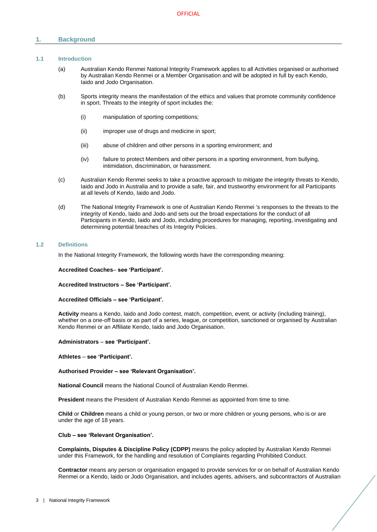## <span id="page-2-0"></span>**1. Background**

## <span id="page-2-1"></span>**1.1 Introduction**

- (a) Australian Kendo Renmei National Integrity Framework applies to all Activities organised or authorised by Australian Kendo Renmei or a Member Organisation and will be adopted in full by each Kendo, Iaido and Jodo Organisation.
- (b) Sports integrity means the manifestation of the ethics and values that promote community confidence in sport. Threats to the integrity of sport includes the:
	- (i) manipulation of sporting competitions;
	- (ii) improper use of drugs and medicine in sport;
	- (iii) abuse of children and other persons in a sporting environment; and
	- (iv) failure to protect Members and other persons in a sporting environment, from bullying, intimidation, discrimination, or harassment.
- (c) Australian Kendo Renmei seeks to take a proactive approach to mitigate the integrity threats to Kendo, Iaido and Jodo in Australia and to provide a safe, fair, and trustworthy environment for all Participants at all levels of Kendo, Iaido and Jodo.
- (d) The National Integrity Framework is one of Australian Kendo Renmei 's responses to the threats to the integrity of Kendo, Iaido and Jodo and sets out the broad expectations for the conduct of all Participants in Kendo, Iaido and Jodo, including procedures for managing, reporting, investigating and determining potential breaches of its Integrity Policies.

#### <span id="page-2-2"></span>**1.2 Definitions**

In the National Integrity Framework, the following words have the corresponding meaning:

#### **Accredited Coaches**– **see 'Participant'.**

**Accredited Instructors – See 'Participant'.**

#### **Accredited Officials – see 'Participant'.**

**Activity** means a Kendo, Iaido and Jodo contest, match, competition, event, or activity (including training), whether on a one-off basis or as part of a series, league, or competition, sanctioned or organised by Australian Kendo Renmei or an Affiliate Kendo, Iaido and Jodo Organisation.

#### **Administrators** – **see 'Participant'.**

**Athletes** – **see 'Participant'.**

#### **Authorised Provider – see 'Relevant Organisation'.**

**National Council** means the National Council of Australian Kendo Renmei.

**President** means the President of Australian Kendo Renmei as appointed from time to time.

**Child** or **Children** means a child or young person, or two or more children or young persons, who is or are under the age of 18 years.

## **Club – see 'Relevant Organisation'.**

**Complaints, Disputes & Discipline Policy (CDPP)** means the policy adopted by Australian Kendo Renmei under this Framework, for the handling and resolution of Complaints regarding Prohibited Conduct.

**Contractor** means any person or organisation engaged to provide services for or on behalf of Australian Kendo Renmei or a Kendo, Iaido or Jodo Organisation, and includes agents, advisers, and subcontractors of Australian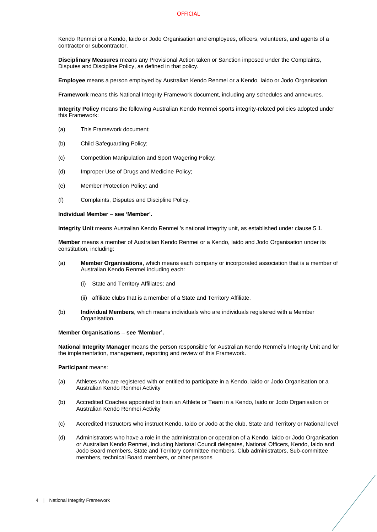#### **OFFICIAL**

Kendo Renmei or a Kendo, Iaido or Jodo Organisation and employees, officers, volunteers, and agents of a contractor or subcontractor.

**Disciplinary Measures** means any Provisional Action taken or Sanction imposed under the Complaints, Disputes and Discipline Policy, as defined in that policy.

**Employee** means a person employed by Australian Kendo Renmei or a Kendo, Iaido or Jodo Organisation.

**Framework** means this National Integrity Framework document, including any schedules and annexures.

**Integrity Policy** means the following Australian Kendo Renmei sports integrity-related policies adopted under this Framework:

- (a) This Framework document;
- (b) Child Safeguarding Policy;
- (c) Competition Manipulation and Sport Wagering Policy;
- (d) Improper Use of Drugs and Medicine Policy;
- (e) Member Protection Policy; and
- (f) Complaints, Disputes and Discipline Policy.

#### **Individual Member** – **see 'Member'.**

**Integrity Unit** means Australian Kendo Renmei 's national integrity unit, as established under clause [5.1.](#page-6-2)

**Member** means a member of Australian Kendo Renmei or a Kendo, Iaido and Jodo Organisation under its constitution, including:

- (a) **Member Organisations**, which means each company or incorporated association that is a member of Australian Kendo Renmei including each:
	- (i) State and Territory Affiliates; and
	- (ii) affiliate clubs that is a member of a State and Territory Affiliate.
- (b) **Individual Members**, which means individuals who are individuals registered with a Member Organisation.

#### **Member Organisations** – **see 'Member'.**

**National Integrity Manager** means the person responsible for Australian Kendo Renmei's Integrity Unit and for the implementation, management, reporting and review of this Framework.

#### **Participant** means:

- (a) Athletes who are registered with or entitled to participate in a Kendo, Iaido or Jodo Organisation or a Australian Kendo Renmei Activity
- (b) Accredited Coaches appointed to train an Athlete or Team in a Kendo, Iaido or Jodo Organisation or Australian Kendo Renmei Activity
- (c) Accredited Instructors who instruct Kendo, Iaido or Jodo at the club, State and Territory or National level
- (d) Administrators who have a role in the administration or operation of a Kendo, Iaido or Jodo Organisation or Australian Kendo Renmei, including National Council delegates, National Officers, Kendo, Iaido and Jodo Board members, State and Territory committee members, Club administrators, Sub-committee members, technical Board members, or other persons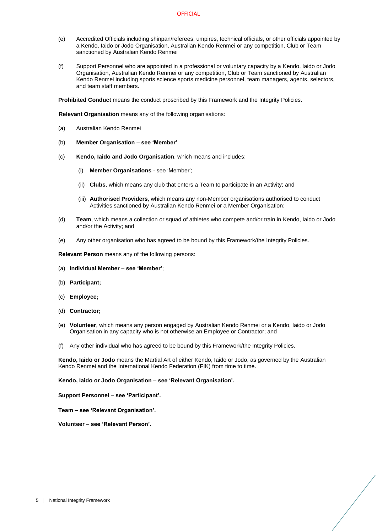- (e) Accredited Officials including shinpan/referees, umpires, technical officials, or other officials appointed by a Kendo, Iaido or Jodo Organisation, Australian Kendo Renmei or any competition, Club or Team sanctioned by Australian Kendo Renmei
- (f) Support Personnel who are appointed in a professional or voluntary capacity by a Kendo, Iaido or Jodo Organisation, Australian Kendo Renmei or any competition, Club or Team sanctioned by Australian Kendo Renmei including sports science sports medicine personnel, team managers, agents, selectors, and team staff members.

**Prohibited Conduct** means the conduct proscribed by this Framework and the Integrity Policies.

**Relevant Organisation** means any of the following organisations:

- (a) Australian Kendo Renmei
- (b) **Member Organisation see 'Member'**.
- (c) **Kendo, Iaido and Jodo Organisation**, which means and includes:
	- (i) **Member Organisations** see 'Member';
	- (ii) **Clubs**, which means any club that enters a Team to participate in an Activity; and
	- (iii) **Authorised Providers**, which means any non-Member organisations authorised to conduct Activities sanctioned by Australian Kendo Renmei or a Member Organisation;
- (d) **Team**, which means a collection or squad of athletes who compete and/or train in Kendo, Iaido or Jodo and/or the Activity; and
- (e) Any other organisation who has agreed to be bound by this Framework/the Integrity Policies.

**Relevant Person** means any of the following persons:

- (a) **Individual Member see 'Member'**;
- (b) **Participant;**
- (c) **Employee;**
- (d) **Contractor;**
- (e) **Volunteer**, which means any person engaged by Australian Kendo Renmei or a Kendo, Iaido or Jodo Organisation in any capacity who is not otherwise an Employee or Contractor; and
- (f) Any other individual who has agreed to be bound by this Framework/the Integrity Policies.

**Kendo, Iaido or Jodo** means the Martial Art of either Kendo, Iaido or Jodo, as governed by the Australian Kendo Renmei and the International Kendo Federation (FIK) from time to time.

**Kendo, Iaido or Jodo Organisation** – **see 'Relevant Organisation'.**

**Support Personnel** – **see 'Participant'.**

**Team – see 'Relevant Organisation'.** 

**Volunteer** – **see 'Relevant Person'.**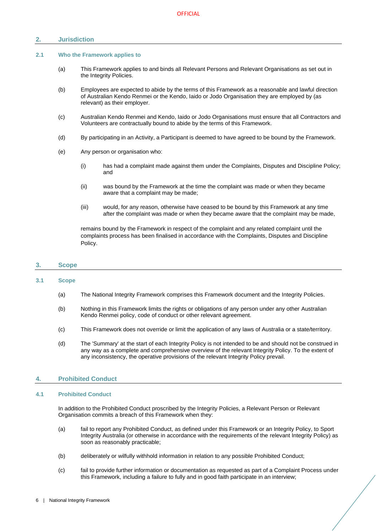## <span id="page-5-0"></span>**2. Jurisdiction**

#### <span id="page-5-1"></span>**2.1 Who the Framework applies to**

- (a) This Framework applies to and binds all Relevant Persons and Relevant Organisations as set out in the Integrity Policies.
- (b) Employees are expected to abide by the terms of this Framework as a reasonable and lawful direction of Australian Kendo Renmei or the Kendo, Iaido or Jodo Organisation they are employed by (as relevant) as their employer.
- (c) Australian Kendo Renmei and Kendo, Iaido or Jodo Organisations must ensure that all Contractors and Volunteers are contractually bound to abide by the terms of this Framework.
- (d) By participating in an Activity, a Participant is deemed to have agreed to be bound by the Framework.
- (e) Any person or organisation who:
	- (i) has had a complaint made against them under the Complaints, Disputes and Discipline Policy; and
	- (ii) was bound by the Framework at the time the complaint was made or when they became aware that a complaint may be made;
	- (iii) would, for any reason, otherwise have ceased to be bound by this Framework at any time after the complaint was made or when they became aware that the complaint may be made,

remains bound by the Framework in respect of the complaint and any related complaint until the complaints process has been finalised in accordance with the Complaints, Disputes and Discipline Policy.

## <span id="page-5-2"></span>**3. Scope**

## <span id="page-5-3"></span>**3.1 Scope**

- (a) The National Integrity Framework comprises this Framework document and the Integrity Policies.
- (b) Nothing in this Framework limits the rights or obligations of any person under any other Australian Kendo Renmei policy, code of conduct or other relevant agreement.
- (c) This Framework does not override or limit the application of any laws of Australia or a state/territory.
- (d) The 'Summary' at the start of each Integrity Policy is not intended to be and should not be construed in any way as a complete and comprehensive overview of the relevant Integrity Policy. To the extent of any inconsistency, the operative provisions of the relevant Integrity Policy prevail.

## <span id="page-5-4"></span>**4. Prohibited Conduct**

#### <span id="page-5-5"></span>**4.1 Prohibited Conduct**

In addition to the Prohibited Conduct proscribed by the Integrity Policies, a Relevant Person or Relevant Organisation commits a breach of this Framework when they:

- (a) fail to report any Prohibited Conduct, as defined under this Framework or an Integrity Policy, to Sport Integrity Australia (or otherwise in accordance with the requirements of the relevant Integrity Policy) as soon as reasonably practicable;
- (b) deliberately or wilfully withhold information in relation to any possible Prohibited Conduct;
- (c) fail to provide further information or documentation as requested as part of a Complaint Process under this Framework, including a failure to fully and in good faith participate in an interview;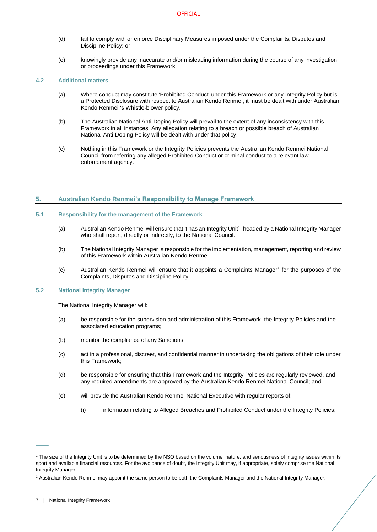- (d) fail to comply with or enforce Disciplinary Measures imposed under the Complaints, Disputes and Discipline Policy; or
- (e) knowingly provide any inaccurate and/or misleading information during the course of any investigation or proceedings under this Framework.

## <span id="page-6-0"></span>**4.2 Additional matters**

- (a) Where conduct may constitute 'Prohibited Conduct' under this Framework or any Integrity Policy but is a Protected Disclosure with respect to Australian Kendo Renmei, it must be dealt with under Australian Kendo Renmei 's Whistle-blower policy.
- (b) The Australian National Anti-Doping Policy will prevail to the extent of any inconsistency with this Framework in all instances. Any allegation relating to a breach or possible breach of Australian National Anti-Doping Policy will be dealt with under that policy.
- (c) Nothing in this Framework or the Integrity Policies prevents the Australian Kendo Renmei National Council from referring any alleged Prohibited Conduct or criminal conduct to a relevant law enforcement agency.

## <span id="page-6-1"></span>**5. Australian Kendo Renmei's Responsibility to Manage Framework**

### <span id="page-6-2"></span>**5.1 Responsibility for the management of the Framework**

- (a) Australian Kendo Renmei will ensure that it has an Integrity Unit<sup>1</sup>, headed by a National Integrity Manager who shall report, directly or indirectly, to the National Council.
- (b) The National Integrity Manager is responsible for the implementation, management, reporting and review of this Framework within Australian Kendo Renmei.
- (c) Australian Kendo Renmei will ensure that it appoints a Complaints Manager<sup>2</sup> for the purposes of the Complaints, Disputes and Discipline Policy.

### <span id="page-6-3"></span>**5.2 National Integrity Manager**

The National Integrity Manager will:

- (a) be responsible for the supervision and administration of this Framework, the Integrity Policies and the associated education programs;
- (b) monitor the compliance of any Sanctions;
- (c) act in a professional, discreet, and confidential manner in undertaking the obligations of their role under this Framework;
- (d) be responsible for ensuring that this Framework and the Integrity Policies are regularly reviewed, and any required amendments are approved by the Australian Kendo Renmei National Council; and
- (e) will provide the Australian Kendo Renmei National Executive with regular reports of:
	- (i) information relating to Alleged Breaches and Prohibited Conduct under the Integrity Policies;

 $\overline{\phantom{a}}$ 

<sup>1</sup> The size of the Integrity Unit is to be determined by the NSO based on the volume, nature, and seriousness of integrity issues within its sport and available financial resources. For the avoidance of doubt, the Integrity Unit may, if appropriate, solely comprise the National Integrity Manager.

<sup>&</sup>lt;sup>2</sup> Australian Kendo Renmei may appoint the same person to be both the Complaints Manager and the National Integrity Manager.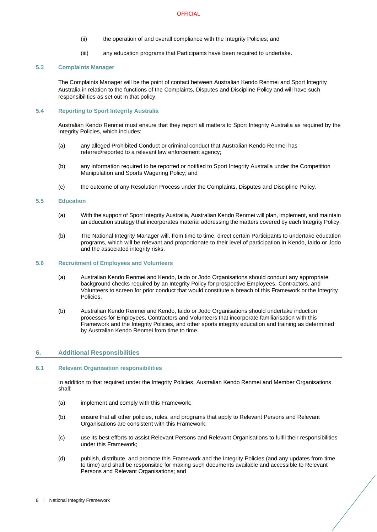#### **OFFICIAL**

- (ii) the operation of and overall compliance with the Integrity Policies; and
- (iii) any education programs that Participants have been required to undertake.

## <span id="page-7-0"></span>**5.3 Complaints Manager**

The Complaints Manager will be the point of contact between Australian Kendo Renmei and Sport Integrity Australia in relation to the functions of the Complaints, Disputes and Discipline Policy and will have such responsibilities as set out in that policy.

## <span id="page-7-1"></span>**5.4 Reporting to Sport Integrity Australia**

Australian Kendo Renmei must ensure that they report all matters to Sport Integrity Australia as required by the Integrity Policies, which includes:

- (a) any alleged Prohibited Conduct or criminal conduct that Australian Kendo Renmei has referred/reported to a relevant law enforcement agency;
- (b) any information required to be reported or notified to Sport Integrity Australia under the Competition Manipulation and Sports Wagering Policy; and
- (c) the outcome of any Resolution Process under the Complaints, Disputes and Discipline Policy.

### <span id="page-7-2"></span>**5.5 Education**

- (a) With the support of Sport Integrity Australia, Australian Kendo Renmei will plan, implement, and maintain an education strategy that incorporates material addressing the matters covered by each Integrity Policy.
- (b) The National Integrity Manager will, from time to time, direct certain Participants to undertake education programs, which will be relevant and proportionate to their level of participation in Kendo, Iaido or Jodo and the associated integrity risks.

#### <span id="page-7-3"></span>**5.6 Recruitment of Employees and Volunteers**

- (a) Australian Kendo Renmei and Kendo, Iaido or Jodo Organisations should conduct any appropriate background checks required by an Integrity Policy for prospective Employees, Contractors, and Volunteers to screen for prior conduct that would constitute a breach of this Framework or the Integrity **Policies**
- (b) Australian Kendo Renmei and Kendo, Iaido or Jodo Organisations should undertake induction processes for Employees, Contractors and Volunteers that incorporate familiarisation with this Framework and the Integrity Policies, and other sports integrity education and training as determined by Australian Kendo Renmei from time to time.

## <span id="page-7-4"></span>**6. Additional Responsibilities**

#### <span id="page-7-5"></span>**6.1 Relevant Organisation responsibilities**

In addition to that required under the Integrity Policies, Australian Kendo Renmei and Member Organisations shall:

- (a) implement and comply with this Framework;
- (b) ensure that all other policies, rules, and programs that apply to Relevant Persons and Relevant Organisations are consistent with this Framework;
- (c) use its best efforts to assist Relevant Persons and Relevant Organisations to fulfil their responsibilities under this Framework;
- (d) publish, distribute, and promote this Framework and the Integrity Policies (and any updates from time to time) and shall be responsible for making such documents available and accessible to Relevant Persons and Relevant Organisations; and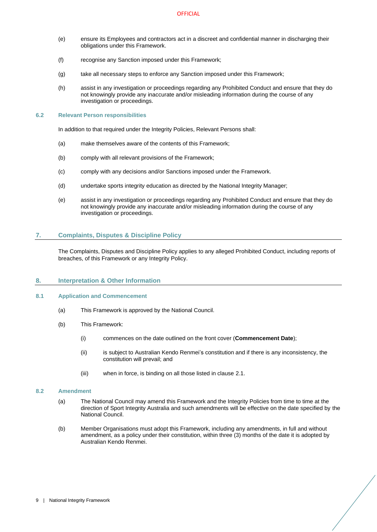- (e) ensure its Employees and contractors act in a discreet and confidential manner in discharging their obligations under this Framework.
- (f) recognise any Sanction imposed under this Framework;
- (g) take all necessary steps to enforce any Sanction imposed under this Framework;
- (h) assist in any investigation or proceedings regarding any Prohibited Conduct and ensure that they do not knowingly provide any inaccurate and/or misleading information during the course of any investigation or proceedings.

#### <span id="page-8-0"></span>**6.2 Relevant Person responsibilities**

In addition to that required under the Integrity Policies, Relevant Persons shall:

- (a) make themselves aware of the contents of this Framework;
- (b) comply with all relevant provisions of the Framework;
- (c) comply with any decisions and/or Sanctions imposed under the Framework.
- (d) undertake sports integrity education as directed by the National Integrity Manager;
- (e) assist in any investigation or proceedings regarding any Prohibited Conduct and ensure that they do not knowingly provide any inaccurate and/or misleading information during the course of any investigation or proceedings.

## <span id="page-8-1"></span>**7. Complaints, Disputes & Discipline Policy**

The Complaints, Disputes and Discipline Policy applies to any alleged Prohibited Conduct, including reports of breaches, of this Framework or any Integrity Policy.

### <span id="page-8-2"></span>**8. Interpretation & Other Information**

#### <span id="page-8-3"></span>**8.1 Application and Commencement**

- (a) This Framework is approved by the National Council.
- (b) This Framework:
	- (i) commences on the date outlined on the front cover (**Commencement Date**);
	- (ii) is subject to Australian Kendo Renmei's constitution and if there is any inconsistency, the constitution will prevail; and
	- (iii) when in force, is binding on all those listed in clause [2.1.](#page-5-1)

#### <span id="page-8-4"></span>**8.2 Amendment**

- (a) The National Council may amend this Framework and the Integrity Policies from time to time at the direction of Sport Integrity Australia and such amendments will be effective on the date specified by the National Council.
- (b) Member Organisations must adopt this Framework, including any amendments, in full and without amendment, as a policy under their constitution, within three (3) months of the date it is adopted by Australian Kendo Renmei.